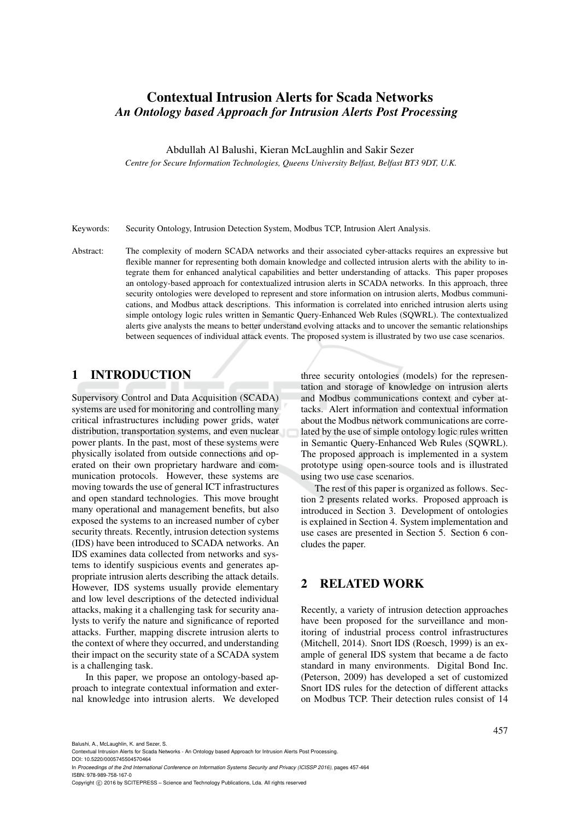# Contextual Intrusion Alerts for Scada Networks *An Ontology based Approach for Intrusion Alerts Post Processing*

Abdullah Al Balushi, Kieran McLaughlin and Sakir Sezer

*Centre for Secure Information Technologies, Queens University Belfast, Belfast BT3 9DT, U.K.*

Keywords: Security Ontology, Intrusion Detection System, Modbus TCP, Intrusion Alert Analysis.

Abstract: The complexity of modern SCADA networks and their associated cyber-attacks requires an expressive but flexible manner for representing both domain knowledge and collected intrusion alerts with the ability to integrate them for enhanced analytical capabilities and better understanding of attacks. This paper proposes an ontology-based approach for contextualized intrusion alerts in SCADA networks. In this approach, three security ontologies were developed to represent and store information on intrusion alerts, Modbus communications, and Modbus attack descriptions. This information is correlated into enriched intrusion alerts using simple ontology logic rules written in Semantic Query-Enhanced Web Rules (SQWRL). The contextualized alerts give analysts the means to better understand evolving attacks and to uncover the semantic relationships between sequences of individual attack events. The proposed system is illustrated by two use case scenarios.

## 1 INTRODUCTION

Supervisory Control and Data Acquisition (SCADA) systems are used for monitoring and controlling many critical infrastructures including power grids, water distribution, transportation systems, and even nuclear power plants. In the past, most of these systems were physically isolated from outside connections and operated on their own proprietary hardware and communication protocols. However, these systems are moving towards the use of general ICT infrastructures and open standard technologies. This move brought many operational and management benefits, but also exposed the systems to an increased number of cyber security threats. Recently, intrusion detection systems (IDS) have been introduced to SCADA networks. An IDS examines data collected from networks and systems to identify suspicious events and generates appropriate intrusion alerts describing the attack details. However, IDS systems usually provide elementary and low level descriptions of the detected individual attacks, making it a challenging task for security analysts to verify the nature and significance of reported attacks. Further, mapping discrete intrusion alerts to the context of where they occurred, and understanding their impact on the security state of a SCADA system is a challenging task.

In this paper, we propose an ontology-based approach to integrate contextual information and external knowledge into intrusion alerts. We developed

three security ontologies (models) for the representation and storage of knowledge on intrusion alerts and Modbus communications context and cyber attacks. Alert information and contextual information about the Modbus network communications are correlated by the use of simple ontology logic rules written in Semantic Query-Enhanced Web Rules (SQWRL). The proposed approach is implemented in a system prototype using open-source tools and is illustrated using two use case scenarios.

The rest of this paper is organized as follows. Section 2 presents related works. Proposed approach is introduced in Section 3. Development of ontologies is explained in Section 4. System implementation and use cases are presented in Section 5. Section 6 concludes the paper.

## 2 RELATED WORK

Recently, a variety of intrusion detection approaches have been proposed for the surveillance and monitoring of industrial process control infrastructures (Mitchell, 2014). Snort IDS (Roesch, 1999) is an example of general IDS system that became a de facto standard in many environments. Digital Bond Inc. (Peterson, 2009) has developed a set of customized Snort IDS rules for the detection of different attacks on Modbus TCP. Their detection rules consist of 14

- DOI: 10.5220/0005745504570464 In *Proceedings of the 2nd International Conference on Information Systems Security and Privacy (ICISSP 2016)*, pages 457-464 ISBN: 978-989-758-167-0
- Copyright © 2016 by SCITEPRESS Science and Technology Publications, Lda. All rights reserved

Contextual Intrusion Alerts for Scada Networks - An Ontology based Approach for Intrusion Alerts Post Processing.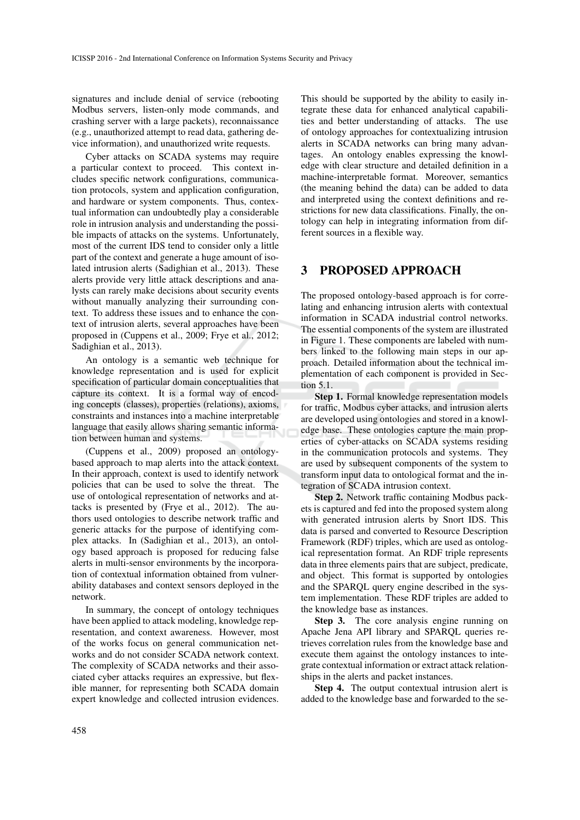signatures and include denial of service (rebooting Modbus servers, listen-only mode commands, and crashing server with a large packets), reconnaissance (e.g., unauthorized attempt to read data, gathering device information), and unauthorized write requests.

Cyber attacks on SCADA systems may require a particular context to proceed. This context includes specific network configurations, communication protocols, system and application configuration, and hardware or system components. Thus, contextual information can undoubtedly play a considerable role in intrusion analysis and understanding the possible impacts of attacks on the systems. Unfortunately, most of the current IDS tend to consider only a little part of the context and generate a huge amount of isolated intrusion alerts (Sadighian et al., 2013). These alerts provide very little attack descriptions and analysts can rarely make decisions about security events without manually analyzing their surrounding context. To address these issues and to enhance the context of intrusion alerts, several approaches have been proposed in (Cuppens et al., 2009; Frye et al., 2012; Sadighian et al., 2013).

An ontology is a semantic web technique for knowledge representation and is used for explicit specification of particular domain conceptualities that capture its context. It is a formal way of encoding concepts (classes), properties (relations), axioms, constraints and instances into a machine interpretable language that easily allows sharing semantic information between human and systems.

(Cuppens et al., 2009) proposed an ontologybased approach to map alerts into the attack context. In their approach, context is used to identify network policies that can be used to solve the threat. The use of ontological representation of networks and attacks is presented by (Frye et al., 2012). The authors used ontologies to describe network traffic and generic attacks for the purpose of identifying complex attacks. In (Sadighian et al., 2013), an ontology based approach is proposed for reducing false alerts in multi-sensor environments by the incorporation of contextual information obtained from vulnerability databases and context sensors deployed in the network.

In summary, the concept of ontology techniques have been applied to attack modeling, knowledge representation, and context awareness. However, most of the works focus on general communication networks and do not consider SCADA network context. The complexity of SCADA networks and their associated cyber attacks requires an expressive, but flexible manner, for representing both SCADA domain expert knowledge and collected intrusion evidences.

This should be supported by the ability to easily integrate these data for enhanced analytical capabilities and better understanding of attacks. The use of ontology approaches for contextualizing intrusion alerts in SCADA networks can bring many advantages. An ontology enables expressing the knowledge with clear structure and detailed definition in a machine-interpretable format. Moreover, semantics (the meaning behind the data) can be added to data and interpreted using the context definitions and restrictions for new data classifications. Finally, the ontology can help in integrating information from different sources in a flexible way.

## 3 PROPOSED APPROACH

The proposed ontology-based approach is for correlating and enhancing intrusion alerts with contextual information in SCADA industrial control networks. The essential components of the system are illustrated in Figure 1. These components are labeled with numbers linked to the following main steps in our approach. Detailed information about the technical implementation of each component is provided in Section 5.1.

Step 1. Formal knowledge representation models for traffic, Modbus cyber attacks, and intrusion alerts are developed using ontologies and stored in a knowledge base. These ontologies capture the main properties of cyber-attacks on SCADA systems residing in the communication protocols and systems. They are used by subsequent components of the system to transform input data to ontological format and the integration of SCADA intrusion context.

Step 2. Network traffic containing Modbus packets is captured and fed into the proposed system along with generated intrusion alerts by Snort IDS. This data is parsed and converted to Resource Description Framework (RDF) triples, which are used as ontological representation format. An RDF triple represents data in three elements pairs that are subject, predicate, and object. This format is supported by ontologies and the SPARQL query engine described in the system implementation. These RDF triples are added to the knowledge base as instances.

Step 3. The core analysis engine running on Apache Jena API library and SPARQL queries retrieves correlation rules from the knowledge base and execute them against the ontology instances to integrate contextual information or extract attack relationships in the alerts and packet instances.

Step 4. The output contextual intrusion alert is added to the knowledge base and forwarded to the se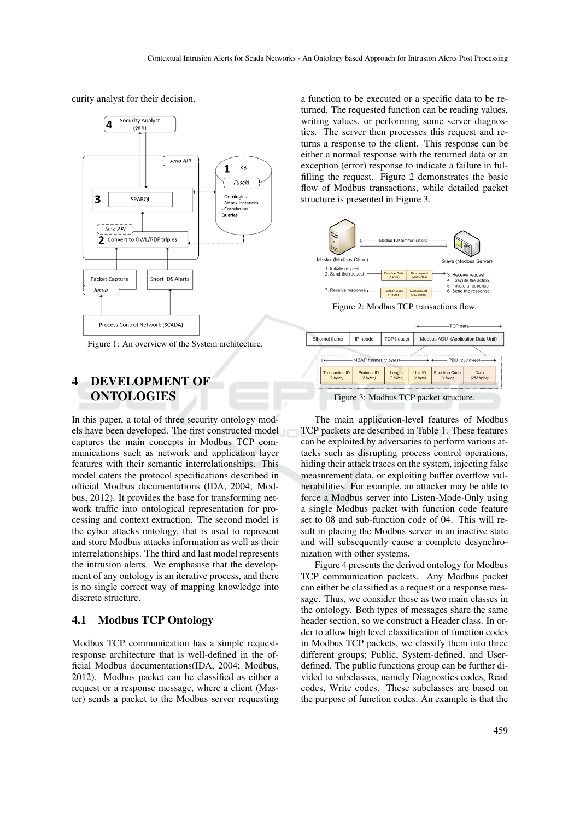curity analyst for their decision.



Figure 1: An overview of the System architecture.

# 4 DEVELOPMENT OF **ONTOLOGIES**

In this paper, a total of three security ontology models have been developed. The first constructed model captures the main concepts in Modbus TCP communications such as network and application layer features with their semantic interrelationships. This model caters the protocol specifications described in official Modbus documentations (IDA, 2004; Modbus, 2012). It provides the base for transforming network traffic into ontological representation for processing and context extraction. The second model is the cyber attacks ontology, that is used to represent and store Modbus attacks information as well as their interrelationships. The third and last model represents the intrusion alerts. We emphasise that the development of any ontology is an iterative process, and there is no single correct way of mapping knowledge into discrete structure.

### 4.1 Modbus TCP Ontology

Modbus TCP communication has a simple requestresponse architecture that is well-defined in the official Modbus documentations(IDA, 2004; Modbus, 2012). Modbus packet can be classified as either a request or a response message, where a client (Master) sends a packet to the Modbus server requesting

a function to be executed or a specific data to be returned. The requested function can be reading values, writing values, or performing some server diagnostics. The server then processes this request and returns a response to the client. This response can be either a normal response with the returned data or an exception (error) response to indicate a failure in fulfilling the request. Figure 2 demonstrates the basic flow of Modbus transactions, while detailed packet structure is presented in Figure 3.





The main application-level features of Modbus TCP packets are described in Table 1. These features can be exploited by adversaries to perform various attacks such as disrupting process control operations, hiding their attack traces on the system, injecting false measurement data, or exploiting buffer overflow vulnerabilities. For example, an attacker may be able to force a Modbus server into Listen-Mode-Only using a single Modbus packet with function code feature set to 08 and sub-function code of 04. This will result in placing the Modbus server in an inactive state and will subsequently cause a complete desynchronization with other systems.

Figure 4 presents the derived ontology for Modbus TCP communication packets. Any Modbus packet can either be classified as a request or a response message. Thus, we consider these as two main classes in the ontology. Both types of messages share the same header section, so we construct a Header class. In order to allow high level classification of function codes in Modbus TCP packets, we classify them into three different groups; Public, System-defined, and Userdefined. The public functions group can be further divided to subclasses, namely Diagnostics codes, Read codes, Write codes. These subclasses are based on the purpose of function codes. An example is that the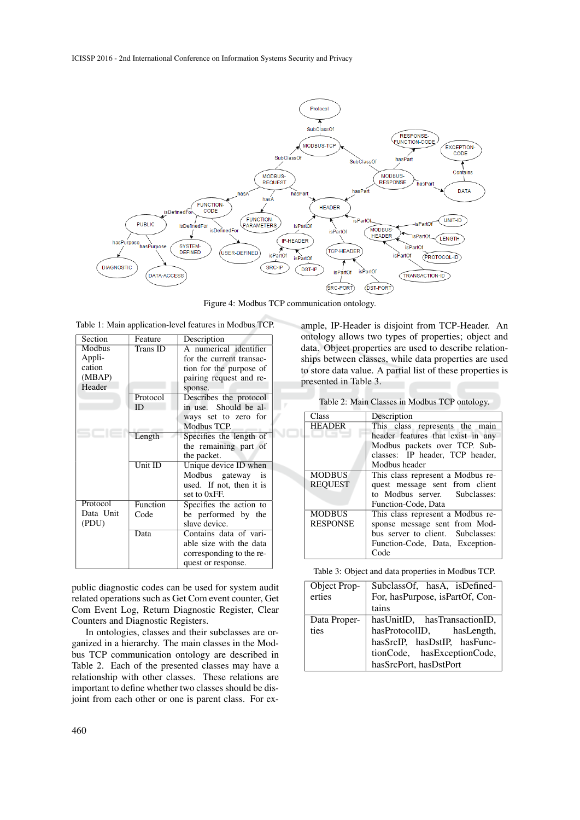

Figure 4: Modbus TCP communication ontology.

|  | Table 1: Main application-level features in Modbus TCP. |  |  |  |
|--|---------------------------------------------------------|--|--|--|
|--|---------------------------------------------------------|--|--|--|

| Section   | Feature   | Description              |
|-----------|-----------|--------------------------|
| Modbus    | Trans ID  | A numerical identifier   |
| Appli-    |           | for the current transac- |
| cation    |           | tion for the purpose of  |
| (MBAP)    |           | pairing request and re-  |
| Header    |           | sponse.                  |
|           | Protocol  | Describes the protocol   |
|           | ID        | in use. Should be al-    |
|           |           | ways set to zero for     |
|           |           | Modbus TCP.              |
|           | Length    | Specifies the length of  |
|           |           | the remaining part of    |
|           |           | the packet.              |
|           | $Unit$ ID | Unique device ID when    |
|           |           | Modbus gateway is        |
|           |           | used. If not, then it is |
|           |           | set to 0xFF.             |
| Protocol  | Function  | Specifies the action to  |
| Data Unit | Code      | be performed by the      |
| (PDU)     |           | slave device.            |
|           | Data      | Contains data of vari-   |
|           |           | able size with the data  |
|           |           | corresponding to the re- |
|           |           | quest or response.       |

public diagnostic codes can be used for system audit related operations such as Get Com event counter, Get Com Event Log, Return Diagnostic Register, Clear Counters and Diagnostic Registers.

In ontologies, classes and their subclasses are organized in a hierarchy. The main classes in the Modbus TCP communication ontology are described in Table 2. Each of the presented classes may have a relationship with other classes. These relations are important to define whether two classes should be disjoint from each other or one is parent class. For ex-

ships between classes, while data properties are used to store data value. A partial list of these properties is presented in Table 3. Table 2: Main Classes in Modbus TCP ontology.

ample, IP-Header is disjoint from TCP-Header. An ontology allows two types of properties; object and data. Object properties are used to describe relation-

| Class           | Description                       |
|-----------------|-----------------------------------|
| <b>HEADER</b>   | This class represents the main    |
|                 | header features that exist in any |
|                 | Modbus packets over TCP. Sub-     |
|                 | classes: IP header, TCP header,   |
|                 | Modbus header                     |
| <b>MODBUS</b>   | This class represent a Modbus re- |
| <b>REOUEST</b>  | quest message sent from client    |
|                 | to Modbus server. Subclasses:     |
|                 | Function-Code, Data               |
| <b>MODBUS</b>   | This class represent a Modbus re- |
| <b>RESPONSE</b> | sponse message sent from Mod-     |
|                 | bus server to client. Subclasses: |
|                 | Function-Code, Data, Exception-   |
|                 | Code                              |

Table 3: Object and data properties in Modbus TCP.

| Object Prop- | SubclassOf, hasA, isDefined-    |
|--------------|---------------------------------|
| erties       | For, hasPurpose, isPartOf, Con- |
|              | tains                           |
| Data Proper- | hasUnitID, hasTransactionID,    |
| ties         | hasProtocolID, hasLength,       |
|              | has SrcIP, has DstIP, has Func- |
|              | tionCode, hasExceptionCode,     |
|              | hasSrcPort, hasDstPort          |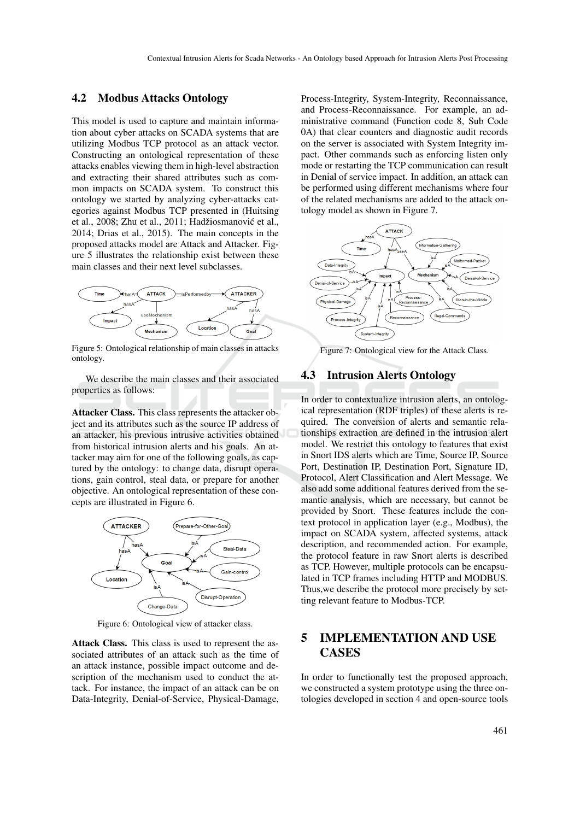### 4.2 Modbus Attacks Ontology

This model is used to capture and maintain information about cyber attacks on SCADA systems that are utilizing Modbus TCP protocol as an attack vector. Constructing an ontological representation of these attacks enables viewing them in high-level abstraction and extracting their shared attributes such as common impacts on SCADA system. To construct this ontology we started by analyzing cyber-attacks categories against Modbus TCP presented in (Huitsing et al., 2008; Zhu et al., 2011; Hadžiosmanović et al., 2014; Drias et al., 2015). The main concepts in the proposed attacks model are Attack and Attacker. Figure 5 illustrates the relationship exist between these main classes and their next level subclasses.



Figure 5: Ontological relationship of main classes in attacks ontology.

We describe the main classes and their associated properties as follows:

Attacker Class. This class represents the attacker object and its attributes such as the source IP address of an attacker, his previous intrusive activities obtained from historical intrusion alerts and his goals. An attacker may aim for one of the following goals, as captured by the ontology: to change data, disrupt operations, gain control, steal data, or prepare for another objective. An ontological representation of these concepts are illustrated in Figure 6.



Figure 6: Ontological view of attacker class.

Attack Class. This class is used to represent the associated attributes of an attack such as the time of an attack instance, possible impact outcome and description of the mechanism used to conduct the attack. For instance, the impact of an attack can be on Data-Integrity, Denial-of-Service, Physical-Damage,

Process-Integrity, System-Integrity, Reconnaissance, and Process-Reconnaissance. For example, an administrative command (Function code 8, Sub Code 0A) that clear counters and diagnostic audit records on the server is associated with System Integrity impact. Other commands such as enforcing listen only mode or restarting the TCP communication can result in Denial of service impact. In addition, an attack can be performed using different mechanisms where four of the related mechanisms are added to the attack ontology model as shown in Figure 7.



Figure 7: Ontological view for the Attack Class.

### 4.3 Intrusion Alerts Ontology

In order to contextualize intrusion alerts, an ontological representation (RDF triples) of these alerts is required. The conversion of alerts and semantic relationships extraction are defined in the intrusion alert model. We restrict this ontology to features that exist in Snort IDS alerts which are Time, Source IP, Source Port, Destination IP, Destination Port, Signature ID, Protocol, Alert Classification and Alert Message. We also add some additional features derived from the semantic analysis, which are necessary, but cannot be provided by Snort. These features include the context protocol in application layer (e.g., Modbus), the impact on SCADA system, affected systems, attack description, and recommended action. For example, the protocol feature in raw Snort alerts is described as TCP. However, multiple protocols can be encapsulated in TCP frames including HTTP and MODBUS. Thus,we describe the protocol more precisely by setting relevant feature to Modbus-TCP.

# 5 IMPLEMENTATION AND USE **CASES**

In order to functionally test the proposed approach, we constructed a system prototype using the three ontologies developed in section 4 and open-source tools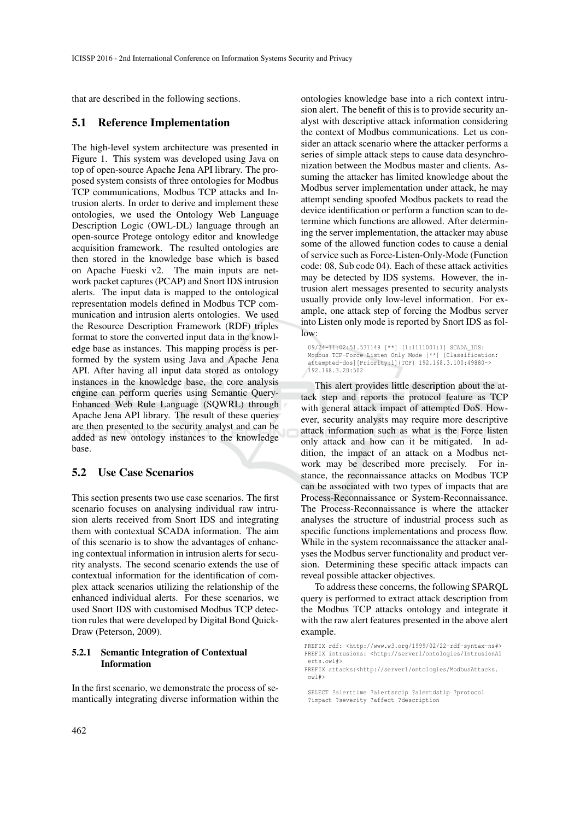that are described in the following sections.

#### 5.1 Reference Implementation

The high-level system architecture was presented in Figure 1. This system was developed using Java on top of open-source Apache Jena API library. The proposed system consists of three ontologies for Modbus TCP communications, Modbus TCP attacks and Intrusion alerts. In order to derive and implement these ontologies, we used the Ontology Web Language Description Logic (OWL-DL) language through an open-source Protege ontology editor and knowledge acquisition framework. The resulted ontologies are then stored in the knowledge base which is based on Apache Fueski v2. The main inputs are network packet captures (PCAP) and Snort IDS intrusion alerts. The input data is mapped to the ontological representation models defined in Modbus TCP communication and intrusion alerts ontologies. We used the Resource Description Framework (RDF) triples format to store the converted input data in the knowledge base as instances. This mapping process is performed by the system using Java and Apache Jena API. After having all input data stored as ontology instances in the knowledge base, the core analysis engine can perform queries using Semantic Query-Enhanced Web Rule Language (SQWRL) through Apache Jena API library. The result of these queries are then presented to the security analyst and can be added as new ontology instances to the knowledge base.

### 5.2 Use Case Scenarios

This section presents two use case scenarios. The first scenario focuses on analysing individual raw intrusion alerts received from Snort IDS and integrating them with contextual SCADA information. The aim of this scenario is to show the advantages of enhancing contextual information in intrusion alerts for security analysts. The second scenario extends the use of contextual information for the identification of complex attack scenarios utilizing the relationship of the enhanced individual alerts. For these scenarios, we used Snort IDS with customised Modbus TCP detection rules that were developed by Digital Bond Quick-Draw (Peterson, 2009).

#### 5.2.1 Semantic Integration of Contextual Information

In the first scenario, we demonstrate the process of semantically integrating diverse information within the

ontologies knowledge base into a rich context intrusion alert. The benefit of this is to provide security analyst with descriptive attack information considering the context of Modbus communications. Let us consider an attack scenario where the attacker performs a series of simple attack steps to cause data desynchronization between the Modbus master and clients. Assuming the attacker has limited knowledge about the Modbus server implementation under attack, he may attempt sending spoofed Modbus packets to read the device identification or perform a function scan to determine which functions are allowed. After determining the server implementation, the attacker may abuse some of the allowed function codes to cause a denial of service such as Force-Listen-Only-Mode (Function code: 08, Sub code 04). Each of these attack activities may be detected by IDS systems. However, the intrusion alert messages presented to security analysts usually provide only low-level information. For example, one attack step of forcing the Modbus server into Listen only mode is reported by Snort IDS as follow:

09/24-11:02:51.531149 [\*\*] [1:1111001:1] SCADA\_IDS: Modbus TCP-Force Listen Only Mode [\*\*] [Classification: attempted-dos][Priority:1]{TCP} 192.168.3.100:49880-> 192.168.3.20:502

This alert provides little description about the attack step and reports the protocol feature as TCP with general attack impact of attempted DoS. However, security analysts may require more descriptive attack information such as what is the Force listen only attack and how can it be mitigated. In addition, the impact of an attack on a Modbus network may be described more precisely. For instance, the reconnaissance attacks on Modbus TCP can be associated with two types of impacts that are Process-Reconnaissance or System-Reconnaissance. The Process-Reconnaissance is where the attacker analyses the structure of industrial process such as specific functions implementations and process flow. While in the system reconnaissance the attacker analyses the Modbus server functionality and product version. Determining these specific attack impacts can reveal possible attacker objectives.

To address these concerns, the following SPARQL query is performed to extract attack description from the Modbus TCP attacks ontology and integrate it with the raw alert features presented in the above alert example.

PREFIX rdf: <http://www.w3.org/1999/02/22-rdf-syntax-ns#> PREFIX intrusions: <http://server1/ontologies/IntrusionAl erts.owl#>

PREFIX attacks:<http://server1/ontologies/ModbusAttacks. owl#>

SELECT ?alerttime ?alertsrcip ?alertdstip ?protocol ?impact ?severity ?affect ?description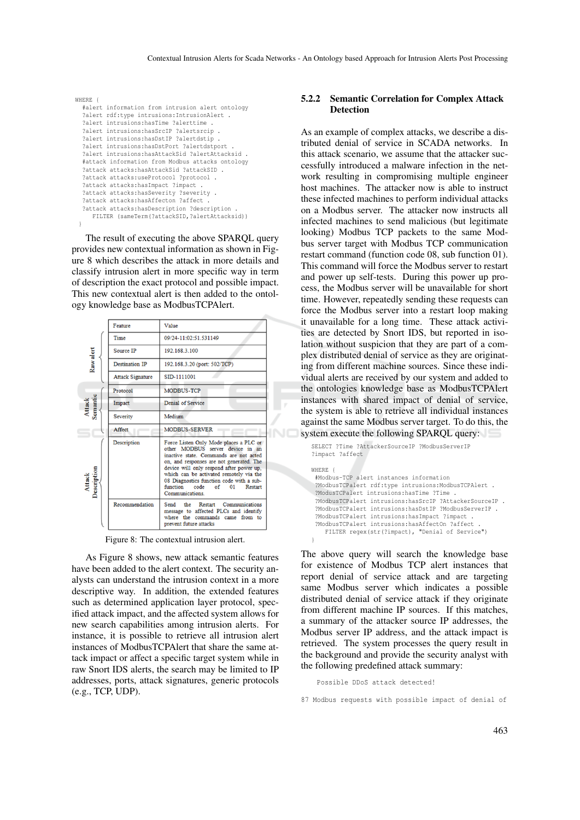```
WHERE {
  #alert information from intrusion alert ontology
  ?alert rdf:type intrusions:IntrusionAlert .
  ?alert intrusions:hasTime ?alerttime .
  ?alert intrusions:hasSrcIP ?alertsrcip .
  ?alert intrusions:hasDstIP ?alertdstip
  ?alert intrusions:hasDstPort ?alertdstport .
  ?alert intrusions:hasAttackSid ?alertAttacksid .
  #attack information from Modbus attacks ontology
  ?attack attacks:hasAttackSid ?attackSID .
  ?attack attacks:useProtocol ?protocol .
  ?attack attacks:hasImpact ?impact .
  ?attack attacks:hasSeverity ?severity .
  ?attack attacks:hasAffecton ?affect .
  ?attack attacks:hasDescription ?description .
    FILTER (sameTerm(?attackSID,?alertAttacksid))
 }
```
The result of executing the above SPARQL query provides new contextual information as shown in Figure 8 which describes the attack in more details and classify intrusion alert in more specific way in term of description the exact protocol and possible impact. This new contextual alert is then added to the ontology knowledge base as ModbusTCPAlert.



Figure 8: The contextual intrusion alert.

As Figure 8 shows, new attack semantic features have been added to the alert context. The security analysts can understand the intrusion context in a more descriptive way. In addition, the extended features such as determined application layer protocol, specified attack impact, and the affected system allows for new search capabilities among intrusion alerts. For instance, it is possible to retrieve all intrusion alert instances of ModbusTCPAlert that share the same attack impact or affect a specific target system while in raw Snort IDS alerts, the search may be limited to IP addresses, ports, attack signatures, generic protocols (e.g., TCP, UDP).

#### 5.2.2 Semantic Correlation for Complex Attack **Detection**

As an example of complex attacks, we describe a distributed denial of service in SCADA networks. In this attack scenario, we assume that the attacker successfully introduced a malware infection in the network resulting in compromising multiple engineer host machines. The attacker now is able to instruct these infected machines to perform individual attacks on a Modbus server. The attacker now instructs all infected machines to send malicious (but legitimate looking) Modbus TCP packets to the same Modbus server target with Modbus TCP communication restart command (function code 08, sub function 01). This command will force the Modbus server to restart and power up self-tests. During this power up process, the Modbus server will be unavailable for short time. However, repeatedly sending these requests can force the Modbus server into a restart loop making it unavailable for a long time. These attack activities are detected by Snort IDS, but reported in isolation without suspicion that they are part of a complex distributed denial of service as they are originating from different machine sources. Since these individual alerts are received by our system and added to the ontologies knowledge base as ModbusTCPAlert instances with shared impact of denial of service, the system is able to retrieve all individual instances against the same Modbus server target. To do this, the system execute the following SPARQL query:

```
SELECT ?Time ?AttackerSourceIP ?ModbusServerIP
?impact ?affect
WHERE {
 #Modbus-TCP alert instances information
 ?ModbusTCPalert rdf:type intrusions:ModbusTCPAlert .
 ?ModusTCPalert intrusions:hasTime ?Time .
 ?ModbusTCPalert intrusions:hasSrcIP ?AttackerSourceIP .
 ?ModbusTCPalert intrusions:hasDstIP ?ModbusServerIP .
 ?ModbusTCPalert intrusions:hasImpact ?impact .
 ?ModbusTCPalert intrusions:hasAffectOn ?affect
   FILTER regex(str(?impact), "Denial of Service")
}
```
The above query will search the knowledge base for existence of Modbus TCP alert instances that report denial of service attack and are targeting same Modbus server which indicates a possible distributed denial of service attack if they originate from different machine IP sources. If this matches, a summary of the attacker source IP addresses, the Modbus server IP address, and the attack impact is retrieved. The system processes the query result in the background and provide the security analyst with the following predefined attack summary:

Possible DDoS attack detected!

<sup>87</sup> Modbus requests with possible impact of denial of